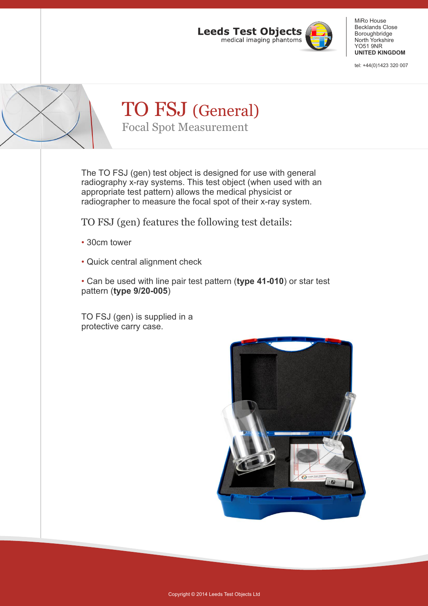

tel: +44(0)1423 320 007

| TO FSJ (General)<br><b>Focal Spot Measurement</b> |
|---------------------------------------------------|

The TO FSJ (gen) test object is designed for use with general radiography x-ray systems. This test object (when used with an appropriate test pattern) allows the medical physicist or radiographer to measure the focal spot of their x-ray system.

TO FSJ (gen) features the following test details:

- 30cm tower •
- Quick central alignment check

Can be used with line pair test pattern (**type 41-010**) or star test • pattern (**type 9/20-005**)

TO FSJ (gen) is supplied in a protective carry case.

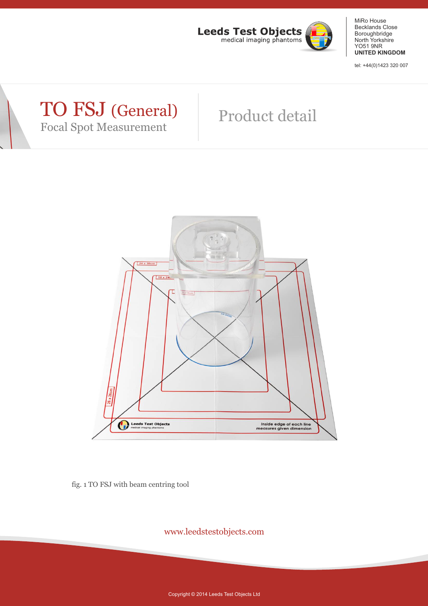

tel: +44(0)1423 320 007

### TO FSJ (General) Focal Spot Measurement

# Product detail



fig. 1 TO FSJ with beam centring tool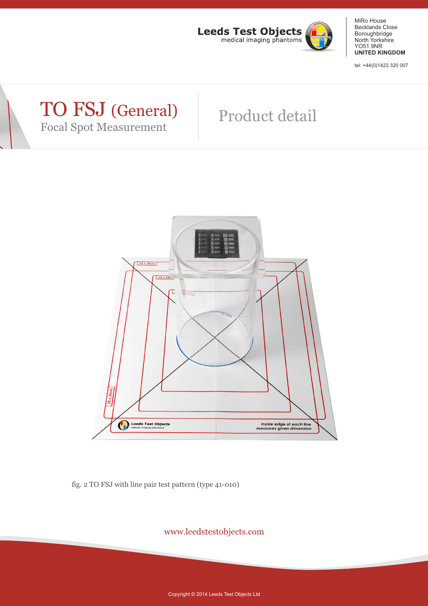

tel: +44(0)1423 320 007

### TO FSJ (General) Focal Spot Measurement

# Product detail



fig. 2 TO FSJ with line pair test pattern (type 41-010)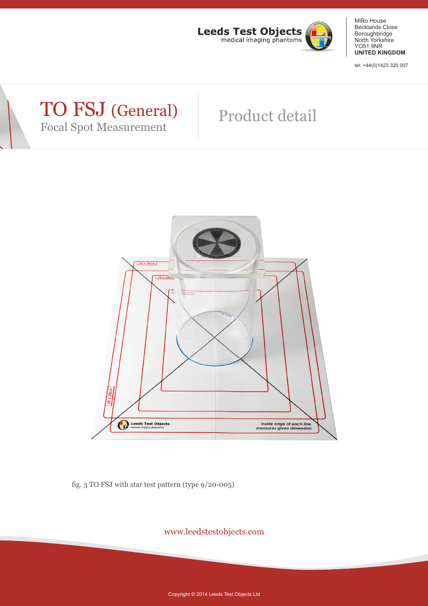

tel: +44(0)1423 320 007

### TO FSJ (General) Focal Spot Measurement

# Product detail



fig. 3 TO FSJ with star test pattern (type 9/20-005)